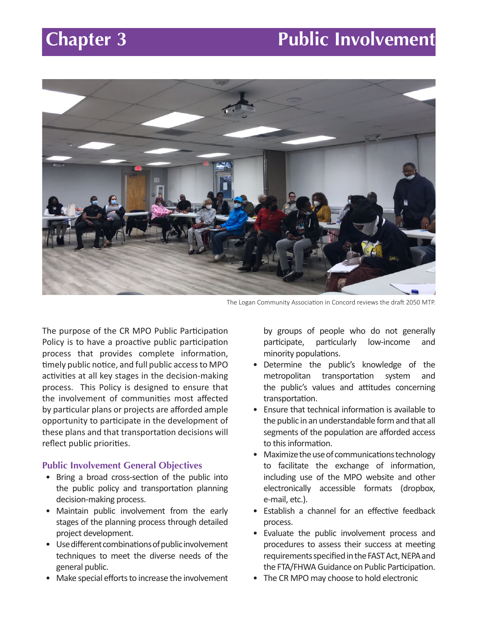# **Chapter 3** Public Involvement



The Logan Community Association in Concord reviews the draft 2050 MTP.

The purpose of the CR MPO Public Participation Policy is to have a proactive public participation process that provides complete information, timely public notice, and full public access to MPO activities at all key stages in the decision-making process. This Policy is designed to ensure that the involvement of communities most affected by particular plans or projects are afforded ample opportunity to participate in the development of these plans and that transportation decisions will reflect public priorities.

#### **Public Involvement General Objectives**

- Bring a broad cross-section of the public into the public policy and transportation planning decision-making process.
- Maintain public involvement from the early stages of the planning process through detailed project development.
- Use different combinations of public involvement techniques to meet the diverse needs of the general public.
- Make special efforts to increase the involvement

by groups of people who do not generally participate, particularly low-income and minority populations.

- Determine the public's knowledge of the metropolitan transportation system and the public's values and attitudes concerning transportation.
- Ensure that technical information is available to the public in an understandable form and that all segments of the population are afforded access to this information.
- Maximize the use of communications technology to facilitate the exchange of information, including use of the MPO website and other electronically accessible formats (dropbox, e-mail, etc.).
- Establish a channel for an effective feedback process.
- Evaluate the public involvement process and procedures to assess their success at meeting requirements specified in the FAST Act, NEPA and the FTA/FHWA Guidance on Public Participation.
- The CR MPO may choose to hold electronic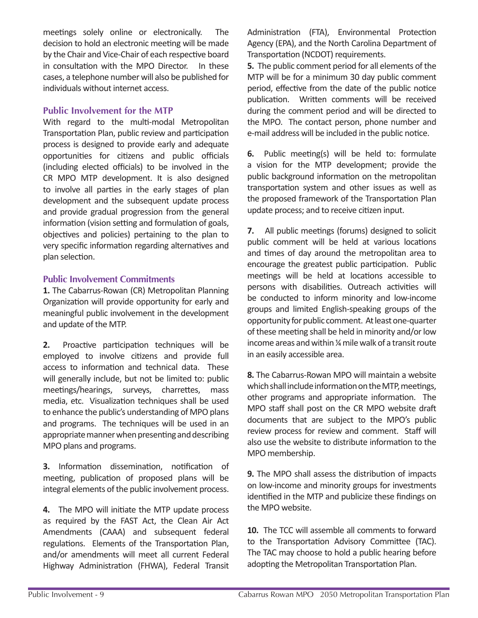meetings solely online or electronically. The decision to hold an electronic meeting will be made by the Chair and Vice-Chair of each respective board in consultation with the MPO Director. In these cases, a telephone number will also be published for individuals without internet access.

## **Public Involvement for the MTP**

With regard to the multi-modal Metropolitan Transportation Plan, public review and participation process is designed to provide early and adequate opportunities for citizens and public officials (including elected officials) to be involved in the CR MPO MTP development. It is also designed to involve all parties in the early stages of plan development and the subsequent update process and provide gradual progression from the general information (vision setting and formulation of goals, objectives and policies) pertaining to the plan to very specific information regarding alternatives and plan selection.

## **Public Involvement Commitments**

**1.** The Cabarrus-Rowan (CR) Metropolitan Planning Organization will provide opportunity for early and meaningful public involvement in the development and update of the MTP.

**2.** Proactive participation techniques will be employed to involve citizens and provide full access to information and technical data. These will generally include, but not be limited to: public meetings/hearings, surveys, charrettes, mass media, etc. Visualization techniques shall be used to enhance the public's understanding of MPO plans and programs. The techniques will be used in an appropriate manner when presenting and describing MPO plans and programs.

**3.** Information dissemination, notification of meeting, publication of proposed plans will be integral elements of the public involvement process.

**4.** The MPO will initiate the MTP update process as required by the FAST Act, the Clean Air Act Amendments (CAAA) and subsequent federal regulations. Elements of the Transportation Plan, and/or amendments will meet all current Federal Highway Administration (FHWA), Federal Transit Administration (FTA), Environmental Protection Agency (EPA), and the North Carolina Department of Transportation (NCDOT) requirements.

**5.** The public comment period for all elements of the MTP will be for a minimum 30 day public comment period, effective from the date of the public notice publication. Written comments will be received during the comment period and will be directed to the MPO. The contact person, phone number and e-mail address will be included in the public notice.

**6.** Public meeting(s) will be held to: formulate a vision for the MTP development; provide the public background information on the metropolitan transportation system and other issues as well as the proposed framework of the Transportation Plan update process; and to receive citizen input.

**7.** All public meetings (forums) designed to solicit public comment will be held at various locations and times of day around the metropolitan area to encourage the greatest public participation. Public meetings will be held at locations accessible to persons with disabilities. Outreach activities will be conducted to inform minority and low-income groups and limited English-speaking groups of the opportunity for public comment. At least one-quarter of these meeting shall be held in minority and/or low income areas and within ¼ mile walk of a transit route in an easily accessible area.

**8.** The Cabarrus-Rowan MPO will maintain a website which shall include information on the MTP, meetings, other programs and appropriate information. The MPO staff shall post on the CR MPO website draft documents that are subject to the MPO's public review process for review and comment. Staff will also use the website to distribute information to the MPO membership.

**9.** The MPO shall assess the distribution of impacts on low-income and minority groups for investments identified in the MTP and publicize these findings on the MPO website.

**10.** The TCC will assemble all comments to forward to the Transportation Advisory Committee (TAC). The TAC may choose to hold a public hearing before adopting the Metropolitan Transportation Plan.